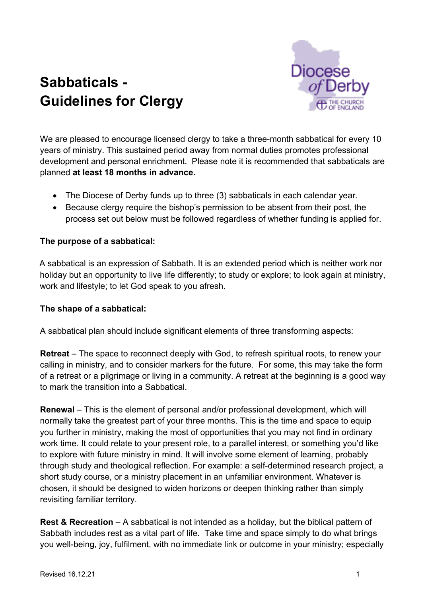# **Sabbaticals - Guidelines for Clergy**



We are pleased to encourage licensed clergy to take a three-month sabbatical for every 10 years of ministry. This sustained period away from normal duties promotes professional development and personal enrichment. Please note it is recommended that sabbaticals are planned **at least 18 months in advance.** 

- The Diocese of Derby funds up to three (3) sabbaticals in each calendar year.
- Because clergy require the bishop's permission to be absent from their post, the process set out below must be followed regardless of whether funding is applied for.

#### **The purpose of a sabbatical:**

A sabbatical is an expression of Sabbath. It is an extended period which is neither work nor holiday but an opportunity to live life differently; to study or explore; to look again at ministry, work and lifestyle; to let God speak to you afresh.

#### **The shape of a sabbatical:**

A sabbatical plan should include significant elements of three transforming aspects:

**Retreat** – The space to reconnect deeply with God, to refresh spiritual roots, to renew your calling in ministry, and to consider markers for the future. For some, this may take the form of a retreat or a pilgrimage or living in a community. A retreat at the beginning is a good way to mark the transition into a Sabbatical.

**Renewal** – This is the element of personal and/or professional development, which will normally take the greatest part of your three months. This is the time and space to equip you further in ministry, making the most of opportunities that you may not find in ordinary work time. It could relate to your present role, to a parallel interest, or something you'd like to explore with future ministry in mind. It will involve some element of learning, probably through study and theological reflection. For example: a self-determined research project, a short study course, or a ministry placement in an unfamiliar environment. Whatever is chosen, it should be designed to widen horizons or deepen thinking rather than simply revisiting familiar territory.

**Rest & Recreation** – A sabbatical is not intended as a holiday, but the biblical pattern of Sabbath includes rest as a vital part of life. Take time and space simply to do what brings you well-being, joy, fulfilment, with no immediate link or outcome in your ministry; especially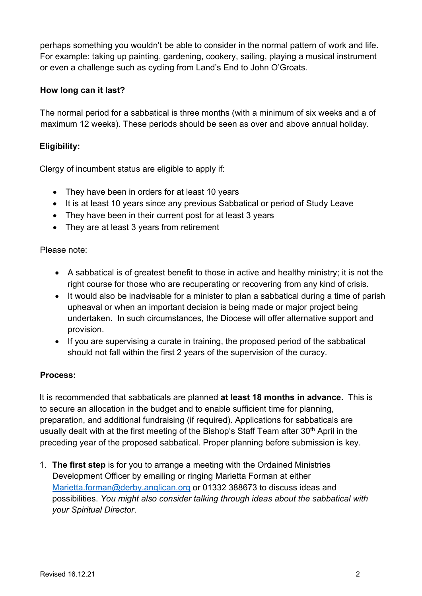perhaps something you wouldn't be able to consider in the normal pattern of work and life. For example: taking up painting, gardening, cookery, sailing, playing a musical instrument or even a challenge such as cycling from Land's End to John O'Groats.

#### **How long can it last?**

The normal period for a sabbatical is three months (with a minimum of six weeks and a of maximum 12 weeks). These periods should be seen as over and above annual holiday.

### **Eligibility:**

Clergy of incumbent status are eligible to apply if:

- They have been in orders for at least 10 years
- It is at least 10 years since any previous Sabbatical or period of Study Leave
- They have been in their current post for at least 3 years
- They are at least 3 years from retirement

Please note:

- A sabbatical is of greatest benefit to those in active and healthy ministry; it is not the right course for those who are recuperating or recovering from any kind of crisis.
- It would also be inadvisable for a minister to plan a sabbatical during a time of parish upheaval or when an important decision is being made or major project being undertaken. In such circumstances, the Diocese will offer alternative support and provision.
- If you are supervising a curate in training, the proposed period of the sabbatical should not fall within the first 2 years of the supervision of the curacy.

#### **Process:**

It is recommended that sabbaticals are planned **at least 18 months in advance.** This is to secure an allocation in the budget and to enable sufficient time for planning, preparation, and additional fundraising (if required). Applications for sabbaticals are usually dealt with at the first meeting of the Bishop's Staff Team after 30<sup>th</sup> April in the preceding year of the proposed sabbatical. Proper planning before submission is key.

1. **The first step** is for you to arrange a meeting with the Ordained Ministries Development Officer by emailing or ringing Marietta Forman at either Marietta.forman@derby.anglican.org or 01332 388673 to discuss ideas and possibilities. *You might also consider talking through ideas about the sabbatical with your Spiritual Director*.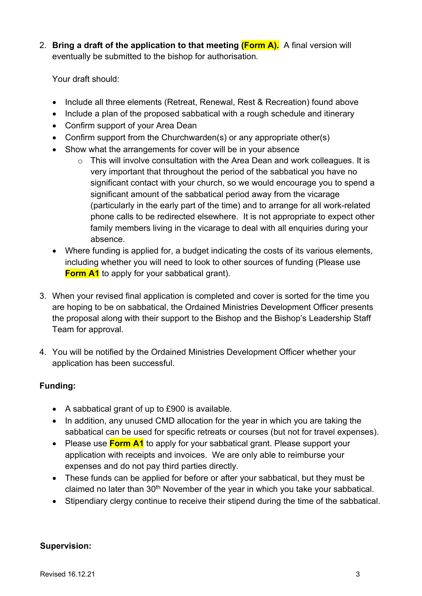2. **Bring a draft of the application to that meeting (Form A).** A final version will eventually be submitted to the bishop for authorisation*.*

Your draft should:

- Include all three elements (Retreat, Renewal, Rest & Recreation) found above
- Include a plan of the proposed sabbatical with a rough schedule and itinerary
- Confirm support of your Area Dean
- Confirm support from the Churchwarden(s) or any appropriate other(s)
- Show what the arrangements for cover will be in your absence
	- $\circ$  This will involve consultation with the Area Dean and work colleagues. It is very important that throughout the period of the sabbatical you have no significant contact with your church, so we would encourage you to spend a significant amount of the sabbatical period away from the vicarage (particularly in the early part of the time) and to arrange for all work-related phone calls to be redirected elsewhere. It is not appropriate to expect other family members living in the vicarage to deal with all enquiries during your absence.
- Where funding is applied for, a budget indicating the costs of its various elements, including whether you will need to look to other sources of funding (Please use **Form A1** to apply for your sabbatical grant).
- 3. When your revised final application is completed and cover is sorted for the time you are hoping to be on sabbatical, the Ordained Ministries Development Officer presents the proposal along with their support to the Bishop and the Bishop's Leadership Staff Team for approval.
- 4. You will be notified by the Ordained Ministries Development Officer whether your application has been successful.

# **Funding:**

- A sabbatical grant of up to £900 is available.
- In addition, any unused CMD allocation for the year in which you are taking the sabbatical can be used for specific retreats or courses (but not for travel expenses).
- Please use **Form A1** to apply for your sabbatical grant. Please support your application with receipts and invoices. We are only able to reimburse your expenses and do not pay third parties directly.
- These funds can be applied for before or after your sabbatical, but they must be claimed no later than 30<sup>th</sup> November of the year in which you take your sabbatical.
- Stipendiary clergy continue to receive their stipend during the time of the sabbatical.

#### **Supervision:**